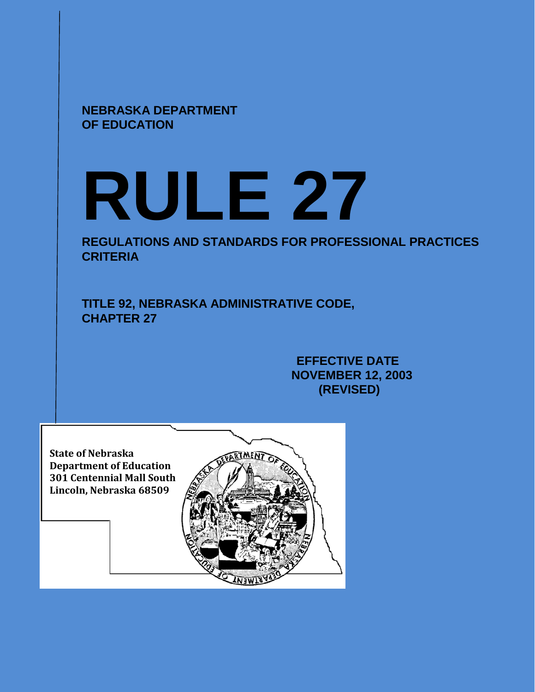**NEBRASKA DEPARTMENT OF EDUCATION**

# **RULE 27**

**REGULATIONS AND STANDARDS FOR PROFESSIONAL PRACTICES CRITERIA**

**TITLE 92, NEBRASKA ADMINISTRATIVE CODE, CHAPTER 27**

> **EFFECTIVE DATE NOVEMBER 12, 2003 (REVISED)**

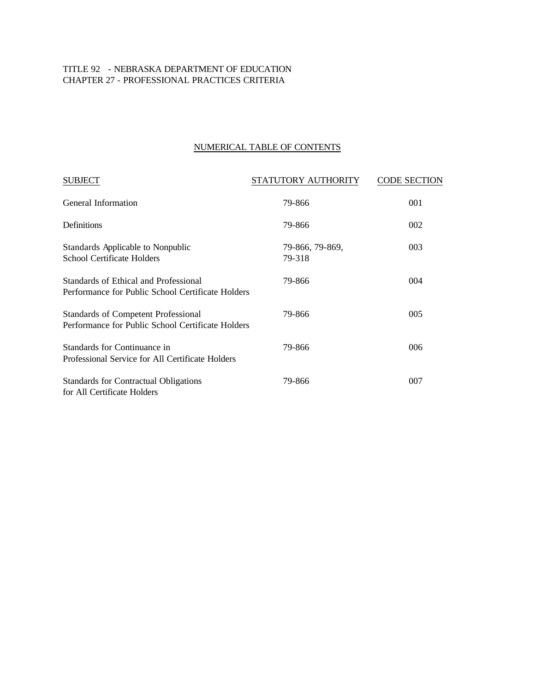## TITLE 92 - NEBRASKA DEPARTMENT OF EDUCATION CHAPTER 27 - PROFESSIONAL PRACTICES CRITERIA

# NUMERICAL TABLE OF CONTENTS

| <b>SUBJECT</b>                                                                                  | STATUTORY AUTHORITY       | <b>CODE SECTION</b> |
|-------------------------------------------------------------------------------------------------|---------------------------|---------------------|
| <b>General Information</b>                                                                      | 79-866                    | 001                 |
| Definitions                                                                                     | 79-866                    | 002                 |
| Standards Applicable to Nonpublic<br>School Certificate Holders                                 | 79-866, 79-869,<br>79-318 | 003                 |
| Standards of Ethical and Professional<br>Performance for Public School Certificate Holders      | 79-866                    | 004                 |
| <b>Standards of Competent Professional</b><br>Performance for Public School Certificate Holders | 79-866                    | 005                 |
| Standards for Continuance in<br>Professional Service for All Certificate Holders                | 79-866                    | 006                 |
| Standards for Contractual Obligations<br>for All Certificate Holders                            | 79-866                    | 007                 |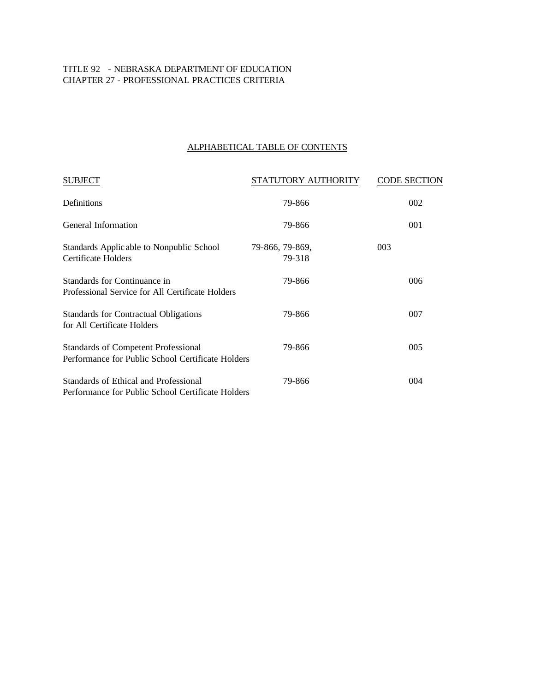## TITLE 92 - NEBRASKA DEPARTMENT OF EDUCATION CHAPTER 27 - PROFESSIONAL PRACTICES CRITERIA

# ALPHABETICAL TABLE OF CONTENTS

| <b>SUBJECT</b>                                                                                  | STATUTORY AUTHORITY       | <b>CODE SECTION</b> |
|-------------------------------------------------------------------------------------------------|---------------------------|---------------------|
| Definitions                                                                                     | 79-866                    | 002                 |
| General Information                                                                             | 79-866                    | 001                 |
| Standards Applic able to Nonpublic School<br>Certificate Holders                                | 79-866, 79-869,<br>79-318 | 003                 |
| Standards for Continuance in<br>Professional Service for All Certificate Holders                | 79-866                    | 006                 |
| Standards for Contractual Obligations<br>for All Certificate Holders                            | 79-866                    | 007                 |
| <b>Standards of Competent Professional</b><br>Performance for Public School Certificate Holders | 79-866                    | 005                 |
| Standards of Ethical and Professional<br>Performance for Public School Certificate Holders      | 79-866                    | 004                 |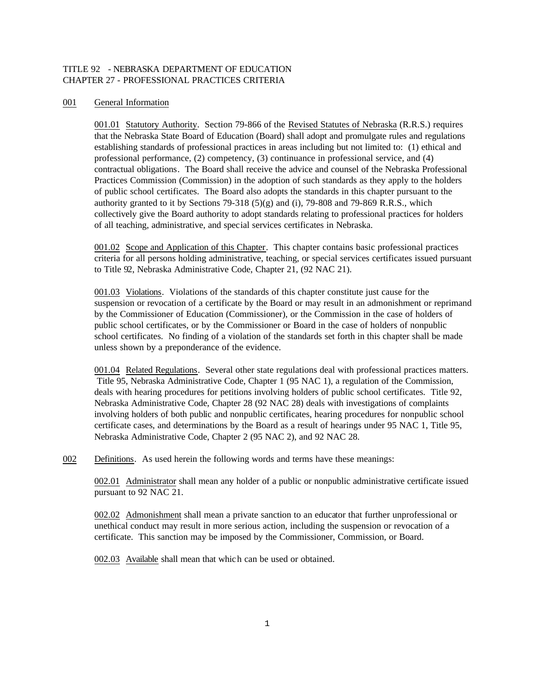### TITLE 92 - NEBRASKA DEPARTMENT OF EDUCATION CHAPTER 27 - PROFESSIONAL PRACTICES CRITERIA

#### 001 General Information

001.01 Statutory Authority. Section 79-866 of the Revised Statutes of Nebraska (R.R.S.) requires that the Nebraska State Board of Education (Board) shall adopt and promulgate rules and regulations establishing standards of professional practices in areas including but not limited to: (1) ethical and professional performance, (2) competency, (3) continuance in professional service, and (4) contractual obligations. The Board shall receive the advice and counsel of the Nebraska Professional Practices Commission (Commission) in the adoption of such standards as they apply to the holders of public school certificates. The Board also adopts the standards in this chapter pursuant to the authority granted to it by Sections 79-318  $(5)(g)$  and (i), 79-808 and 79-869 R.R.S., which collectively give the Board authority to adopt standards relating to professional practices for holders of all teaching, administrative, and special services certificates in Nebraska.

001.02 Scope and Application of this Chapter. This chapter contains basic professional practices criteria for all persons holding administrative, teaching, or special services certificates issued pursuant to Title 92, Nebraska Administrative Code, Chapter 21, (92 NAC 21).

001.03 Violations. Violations of the standards of this chapter constitute just cause for the suspension or revocation of a certificate by the Board or may result in an admonishment or reprimand by the Commissioner of Education (Commissioner), or the Commission in the case of holders of public school certificates, or by the Commissioner or Board in the case of holders of nonpublic school certificates. No finding of a violation of the standards set forth in this chapter shall be made unless shown by a preponderance of the evidence.

001.04 Related Regulations. Several other state regulations deal with professional practices matters. Title 95, Nebraska Administrative Code, Chapter 1 (95 NAC 1), a regulation of the Commission, deals with hearing procedures for petitions involving holders of public school certificates. Title 92, Nebraska Administrative Code, Chapter 28 (92 NAC 28) deals with investigations of complaints involving holders of both public and nonpublic certificates, hearing procedures for nonpublic school certificate cases, and determinations by the Board as a result of hearings under 95 NAC 1, Title 95, Nebraska Administrative Code, Chapter 2 (95 NAC 2), and 92 NAC 28.

002 Definitions. As used herein the following words and terms have these meanings:

002.01 Administrator shall mean any holder of a public or nonpublic administrative certificate issued pursuant to 92 NAC 21.

002.02 Admonishment shall mean a private sanction to an educator that further unprofessional or unethical conduct may result in more serious action, including the suspension or revocation of a certificate. This sanction may be imposed by the Commissioner, Commission, or Board.

002.03 Available shall mean that whic h can be used or obtained.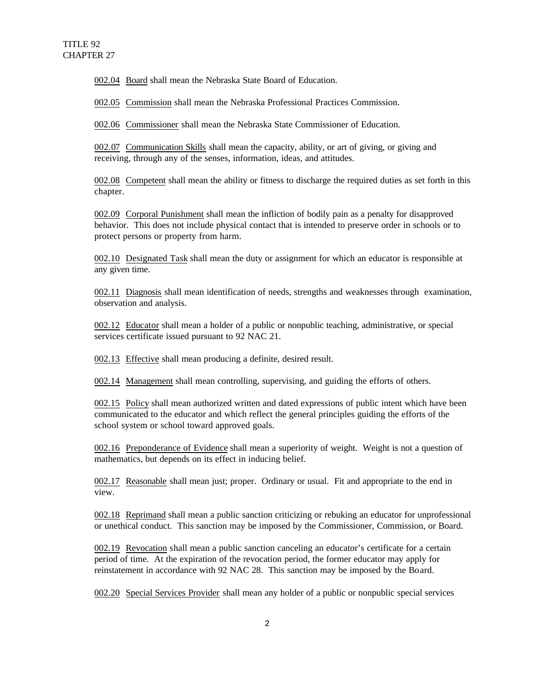002.04 Board shall mean the Nebraska State Board of Education.

002.05 Commission shall mean the Nebraska Professional Practices Commission.

002.06 Commissioner shall mean the Nebraska State Commissioner of Education.

002.07 Communication Skills shall mean the capacity, ability, or art of giving, or giving and receiving, through any of the senses, information, ideas, and attitudes.

002.08 Competent shall mean the ability or fitness to discharge the required duties as set forth in this chapter.

002.09 Corporal Punishment shall mean the infliction of bodily pain as a penalty for disapproved behavior. This does not include physical contact that is intended to preserve order in schools or to protect persons or property from harm.

002.10 Designated Task shall mean the duty or assignment for which an educator is responsible at any given time.

002.11 Diagnosis shall mean identification of needs, strengths and weaknesses through examination, observation and analysis.

002.12 Educator shall mean a holder of a public or nonpublic teaching, administrative, or special services certificate issued pursuant to 92 NAC 21.

002.13 Effective shall mean producing a definite, desired result.

002.14 Management shall mean controlling, supervising, and guiding the efforts of others.

002.15 Policy shall mean authorized written and dated expressions of public intent which have been communicated to the educator and which reflect the general principles guiding the efforts of the school system or school toward approved goals.

002.16 Preponderance of Evidence shall mean a superiority of weight. Weight is not a question of mathematics, but depends on its effect in inducing belief.

002.17 Reasonable shall mean just; proper. Ordinary or usual. Fit and appropriate to the end in view.

002.18 Reprimand shall mean a public sanction criticizing or rebuking an educator for unprofessional or unethical conduct. This sanction may be imposed by the Commissioner, Commission, or Board.

002.19 Revocation shall mean a public sanction canceling an educator's certificate for a certain period of time. At the expiration of the revocation period, the former educator may apply for reinstatement in accordance with 92 NAC 28. This sanction may be imposed by the Board.

002.20 Special Services Provider shall mean any holder of a public or nonpublic special services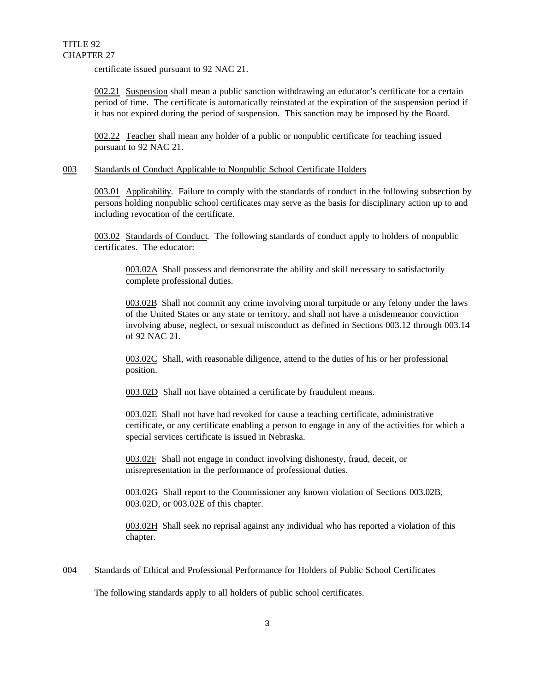certificate issued pursuant to 92 NAC 21.

002.21 Suspension shall mean a public sanction withdrawing an educator's certificate for a certain period of time. The certificate is automatically reinstated at the expiration of the suspension period if it has not expired during the period of suspension. This sanction may be imposed by the Board.

002.22 Teacher shall mean any holder of a public or nonpublic certificate for teaching issued pursuant to 92 NAC 21.

#### 003 Standards of Conduct Applicable to Nonpublic School Certificate Holders

003.01 Applicability. Failure to comply with the standards of conduct in the following subsection by persons holding nonpublic school certificates may serve as the basis for disciplinary action up to and including revocation of the certificate.

003.02 Standards of Conduct. The following standards of conduct apply to holders of nonpublic certificates. The educator:

003.02A Shall possess and demonstrate the ability and skill necessary to satisfactorily complete professional duties.

003.02B Shall not commit any crime involving moral turpitude or any felony under the laws of the United States or any state or territory, and shall not have a misdemeanor conviction involving abuse, neglect, or sexual misconduct as defined in Sections 003.12 through 003.14 of 92 NAC 21.

003.02C Shall, with reasonable diligence, attend to the duties of his or her professional position.

003.02D Shall not have obtained a certificate by fraudulent means.

003.02E Shall not have had revoked for cause a teaching certificate, administrative certificate, or any certificate enabling a person to engage in any of the activities for which a special services certificate is issued in Nebraska.

003.02F Shall not engage in conduct involving dishonesty, fraud, deceit, or misrepresentation in the performance of professional duties.

003.02G Shall report to the Commissioner any known violation of Sections 003.02B, 003.02D, or 003.02E of this chapter.

003.02H Shall seek no reprisal against any individual who has reported a violation of this chapter.

#### 004 Standards of Ethical and Professional Performance for Holders of Public School Certificates

The following standards apply to all holders of public school certificates.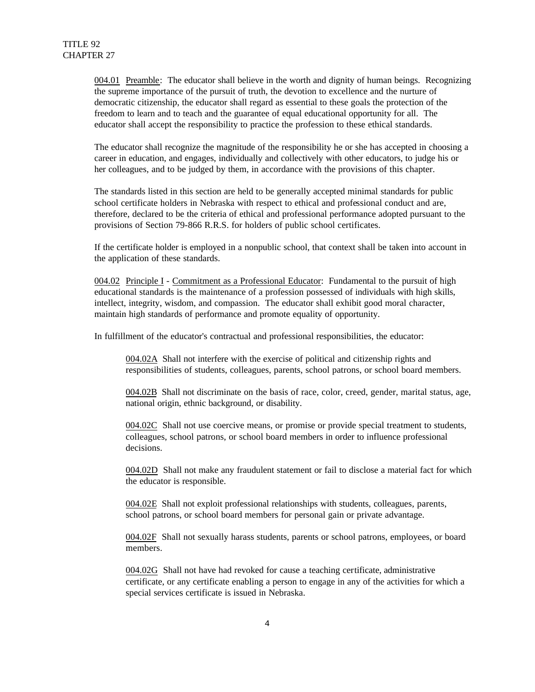004.01 Preamble: The educator shall believe in the worth and dignity of human beings. Recognizing the supreme importance of the pursuit of truth, the devotion to excellence and the nurture of democratic citizenship, the educator shall regard as essential to these goals the protection of the freedom to learn and to teach and the guarantee of equal educational opportunity for all. The educator shall accept the responsibility to practice the profession to these ethical standards.

The educator shall recognize the magnitude of the responsibility he or she has accepted in choosing a career in education, and engages, individually and collectively with other educators, to judge his or her colleagues, and to be judged by them, in accordance with the provisions of this chapter.

The standards listed in this section are held to be generally accepted minimal standards for public school certificate holders in Nebraska with respect to ethical and professional conduct and are, therefore, declared to be the criteria of ethical and professional performance adopted pursuant to the provisions of Section 79-866 R.R.S. for holders of public school certificates.

If the certificate holder is employed in a nonpublic school, that context shall be taken into account in the application of these standards.

004.02 Principle I - Commitment as a Professional Educator: Fundamental to the pursuit of high educational standards is the maintenance of a profession possessed of individuals with high skills, intellect, integrity, wisdom, and compassion. The educator shall exhibit good moral character, maintain high standards of performance and promote equality of opportunity.

In fulfillment of the educator's contractual and professional responsibilities, the educator:

004.02A Shall not interfere with the exercise of political and citizenship rights and responsibilities of students, colleagues, parents, school patrons, or school board members.

004.02B Shall not discriminate on the basis of race, color, creed, gender, marital status, age, national origin, ethnic background, or disability.

004.02C Shall not use coercive means, or promise or provide special treatment to students, colleagues, school patrons, or school board members in order to influence professional decisions.

004.02D Shall not make any fraudulent statement or fail to disclose a material fact for which the educator is responsible.

004.02E Shall not exploit professional relationships with students, colleagues, parents, school patrons, or school board members for personal gain or private advantage.

004.02F Shall not sexually harass students, parents or school patrons, employees, or board members.

004.02G Shall not have had revoked for cause a teaching certificate, administrative certificate, or any certificate enabling a person to engage in any of the activities for which a special services certificate is issued in Nebraska.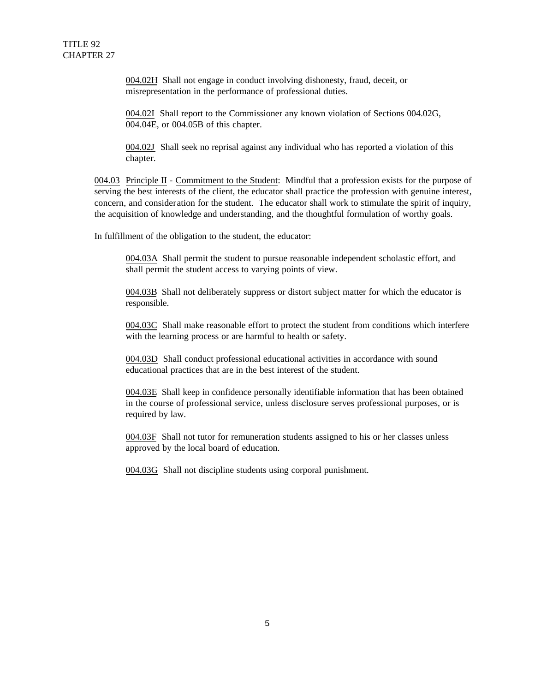004.02H Shall not engage in conduct involving dishonesty, fraud, deceit, or misrepresentation in the performance of professional duties.

004.02I Shall report to the Commissioner any known violation of Sections 004.02G, 004.04E, or 004.05B of this chapter.

004.02J Shall seek no reprisal against any individual who has reported a violation of this chapter.

004.03 Principle II - Commitment to the Student: Mindful that a profession exists for the purpose of serving the best interests of the client, the educator shall practice the profession with genuine interest, concern, and consideration for the student. The educator shall work to stimulate the spirit of inquiry, the acquisition of knowledge and understanding, and the thoughtful formulation of worthy goals.

In fulfillment of the obligation to the student, the educator:

004.03A Shall permit the student to pursue reasonable independent scholastic effort, and shall permit the student access to varying points of view.

004.03B Shall not deliberately suppress or distort subject matter for which the educator is responsible.

004.03C Shall make reasonable effort to protect the student from conditions which interfere with the learning process or are harmful to health or safety.

004.03D Shall conduct professional educational activities in accordance with sound educational practices that are in the best interest of the student.

004.03E Shall keep in confidence personally identifiable information that has been obtained in the course of professional service, unless disclosure serves professional purposes, or is required by law.

004.03F Shall not tutor for remuneration students assigned to his or her classes unless approved by the local board of education.

004.03G Shall not discipline students using corporal punishment.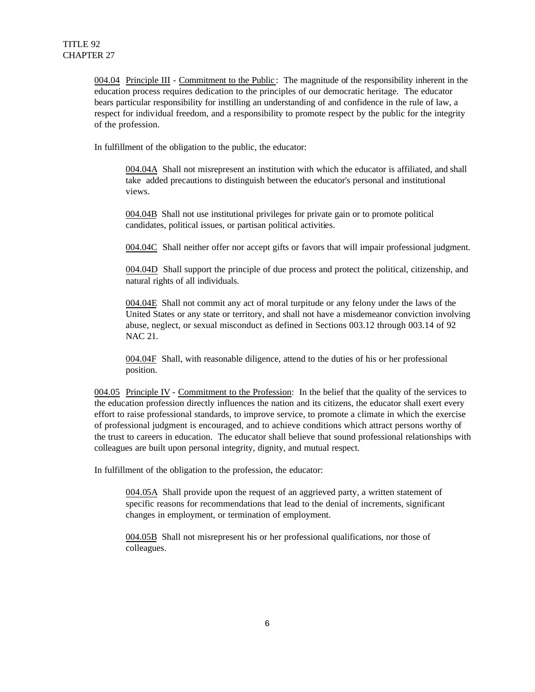004.04 Principle III - Commitment to the Public : The magnitude of the responsibility inherent in the education process requires dedication to the principles of our democratic heritage. The educator bears particular responsibility for instilling an understanding of and confidence in the rule of law, a respect for individual freedom, and a responsibility to promote respect by the public for the integrity of the profession.

In fulfillment of the obligation to the public, the educator:

004.04A Shall not misrepresent an institution with which the educator is affiliated, and shall take added precautions to distinguish between the educator's personal and institutional views.

004.04B Shall not use institutional privileges for private gain or to promote political candidates, political issues, or partisan political activities.

004.04C Shall neither offer nor accept gifts or favors that will impair professional judgment.

004.04D Shall support the principle of due process and protect the political, citizenship, and natural rights of all individuals.

004.04E Shall not commit any act of moral turpitude or any felony under the laws of the United States or any state or territory, and shall not have a misdemeanor conviction involving abuse, neglect, or sexual misconduct as defined in Sections 003.12 through 003.14 of 92 NAC 21.

004.04F Shall, with reasonable diligence, attend to the duties of his or her professional position.

004.05 Principle IV - Commitment to the Profession: In the belief that the quality of the services to the education profession directly influences the nation and its citizens, the educator shall exert every effort to raise professional standards, to improve service, to promote a climate in which the exercise of professional judgment is encouraged, and to achieve conditions which attract persons worthy of the trust to careers in education. The educator shall believe that sound professional relationships with colleagues are built upon personal integrity, dignity, and mutual respect.

In fulfillment of the obligation to the profession, the educator:

004.05A Shall provide upon the request of an aggrieved party, a written statement of specific reasons for recommendations that lead to the denial of increments, significant changes in employment, or termination of employment.

004.05B Shall not misrepresent his or her professional qualifications, nor those of colleagues.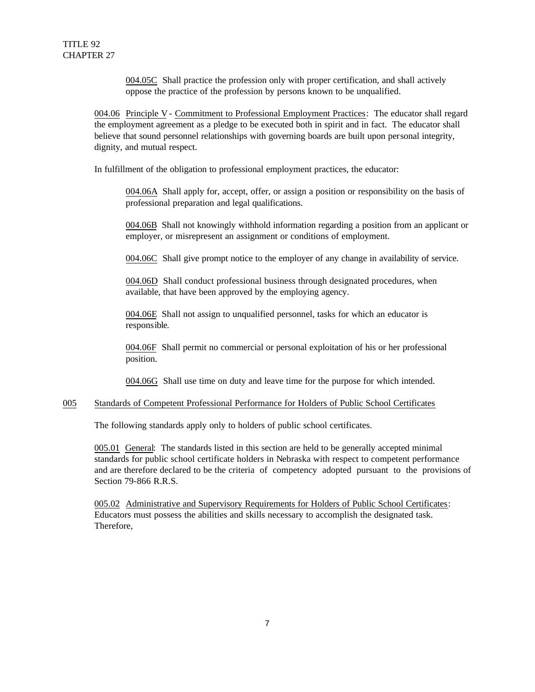004.05C Shall practice the profession only with proper certification, and shall actively oppose the practice of the profession by persons known to be unqualified.

004.06 Principle V- Commitment to Professional Employment Practices: The educator shall regard the employment agreement as a pledge to be executed both in spirit and in fact. The educator shall believe that sound personnel relationships with governing boards are built upon personal integrity, dignity, and mutual respect.

In fulfillment of the obligation to professional employment practices, the educator:

004.06A Shall apply for, accept, offer, or assign a position or responsibility on the basis of professional preparation and legal qualifications.

004.06B Shall not knowingly withhold information regarding a position from an applicant or employer, or misrepresent an assignment or conditions of employment.

004.06C Shall give prompt notice to the employer of any change in availability of service.

004.06D Shall conduct professional business through designated procedures, when available, that have been approved by the employing agency.

004.06E Shall not assign to unqualified personnel, tasks for which an educator is responsible.

004.06F Shall permit no commercial or personal exploitation of his or her professional position.

004.06G Shall use time on duty and leave time for the purpose for which intended.

#### 005 Standards of Competent Professional Performance for Holders of Public School Certificates

The following standards apply only to holders of public school certificates.

005.01 General: The standards listed in this section are held to be generally accepted minimal standards for public school certificate holders in Nebraska with respect to competent performance and are therefore declared to be the criteria of competency adopted pursuant to the provisions of Section 79-866 R.R.S.

005.02 Administrative and Supervisory Requirements for Holders of Public School Certificates: Educators must possess the abilities and skills necessary to accomplish the designated task. Therefore,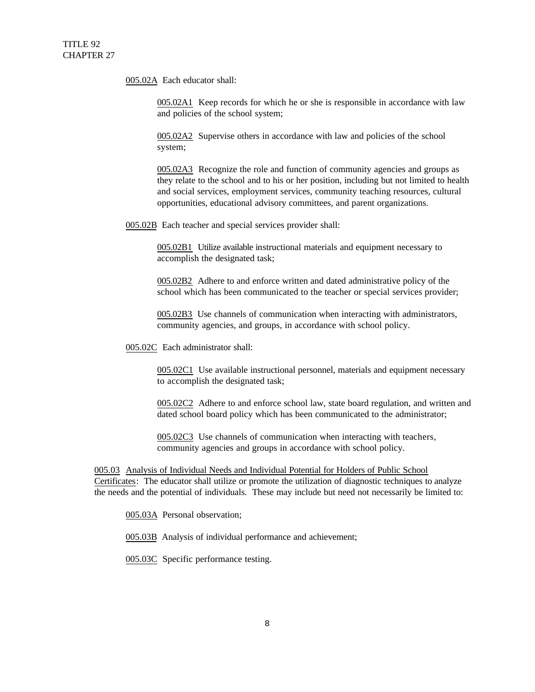005.02A Each educator shall:

005.02A1 Keep records for which he or she is responsible in accordance with law and policies of the school system;

005.02A2 Supervise others in accordance with law and policies of the school system;

005.02A3 Recognize the role and function of community agencies and groups as they relate to the school and to his or her position, including but not limited to health and social services, employment services, community teaching resources, cultural opportunities, educational advisory committees, and parent organizations.

005.02B Each teacher and special services provider shall:

005.02B1 Utilize available instructional materials and equipment necessary to accomplish the designated task;

005.02B2 Adhere to and enforce written and dated administrative policy of the school which has been communicated to the teacher or special services provider;

005.02B3 Use channels of communication when interacting with administrators, community agencies, and groups, in accordance with school policy.

005.02C Each administrator shall:

005.02C1 Use available instructional personnel, materials and equipment necessary to accomplish the designated task;

005.02C2 Adhere to and enforce school law, state board regulation, and written and dated school board policy which has been communicated to the administrator;

005.02C3 Use channels of communication when interacting with teachers, community agencies and groups in accordance with school policy.

005.03 Analysis of Individual Needs and Individual Potential for Holders of Public School Certificates: The educator shall utilize or promote the utilization of diagnostic techniques to analyze the needs and the potential of individuals. These may include but need not necessarily be limited to:

005.03A Personal observation;

005.03B Analysis of individual performance and achievement;

005.03C Specific performance testing.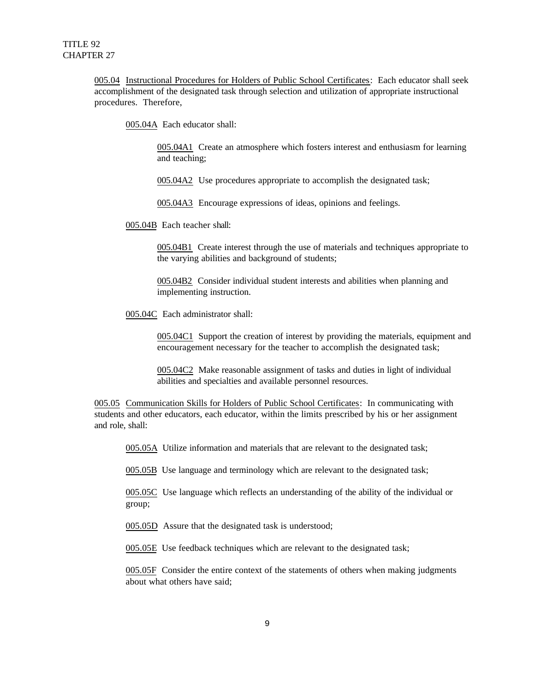005.04 Instructional Procedures for Holders of Public School Certificates: Each educator shall seek accomplishment of the designated task through selection and utilization of appropriate instructional procedures. Therefore,

005.04A Each educator shall:

005.04A1 Create an atmosphere which fosters interest and enthusiasm for learning and teaching;

005.04A2 Use procedures appropriate to accomplish the designated task;

005.04A3 Encourage expressions of ideas, opinions and feelings.

005.04B Each teacher shall:

005.04B1 Create interest through the use of materials and techniques appropriate to the varying abilities and background of students;

005.04B2 Consider individual student interests and abilities when planning and implementing instruction.

005.04C Each administrator shall:

005.04C1 Support the creation of interest by providing the materials, equipment and encouragement necessary for the teacher to accomplish the designated task;

005.04C2 Make reasonable assignment of tasks and duties in light of individual abilities and specialties and available personnel resources.

005.05 Communication Skills for Holders of Public School Certificates: In communicating with students and other educators, each educator, within the limits prescribed by his or her assignment and role, shall:

005.05A Utilize information and materials that are relevant to the designated task;

005.05B Use language and terminology which are relevant to the designated task;

005.05C Use language which reflects an understanding of the ability of the individual or group;

005.05D Assure that the designated task is understood;

005.05E Use feedback techniques which are relevant to the designated task;

005.05F Consider the entire context of the statements of others when making judgments about what others have said;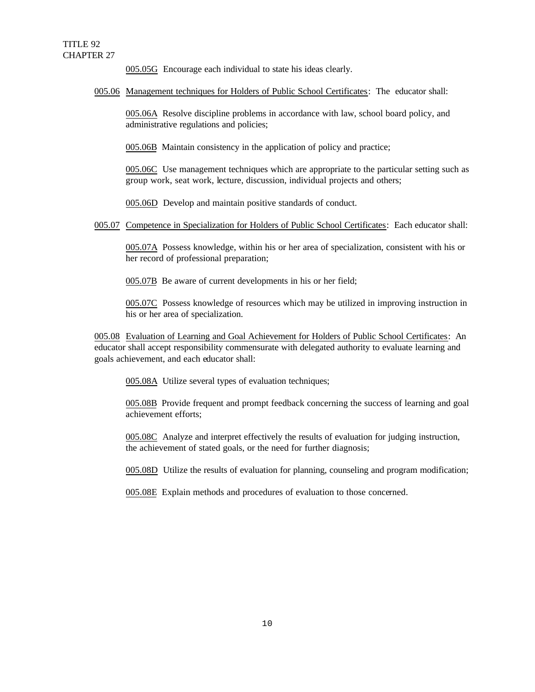005.05G Encourage each individual to state his ideas clearly.

#### 005.06 Management techniques for Holders of Public School Certificates: The educator shall:

005.06A Resolve discipline problems in accordance with law, school board policy, and administrative regulations and policies;

005.06B Maintain consistency in the application of policy and practice;

005.06C Use management techniques which are appropriate to the particular setting such as group work, seat work, lecture, discussion, individual projects and others;

005.06D Develop and maintain positive standards of conduct.

005.07 Competence in Specialization for Holders of Public School Certificates: Each educator shall:

005.07A Possess knowledge, within his or her area of specialization, consistent with his or her record of professional preparation;

005.07B Be aware of current developments in his or her field;

005.07C Possess knowledge of resources which may be utilized in improving instruction in his or her area of specialization.

005.08 Evaluation of Learning and Goal Achievement for Holders of Public School Certificates: An educator shall accept responsibility commensurate with delegated authority to evaluate learning and goals achievement, and each educator shall:

005.08A Utilize several types of evaluation techniques;

005.08B Provide frequent and prompt feedback concerning the success of learning and goal achievement efforts;

005.08C Analyze and interpret effectively the results of evaluation for judging instruction, the achievement of stated goals, or the need for further diagnosis;

005.08D Utilize the results of evaluation for planning, counseling and program modification;

005.08E Explain methods and procedures of evaluation to those concerned.